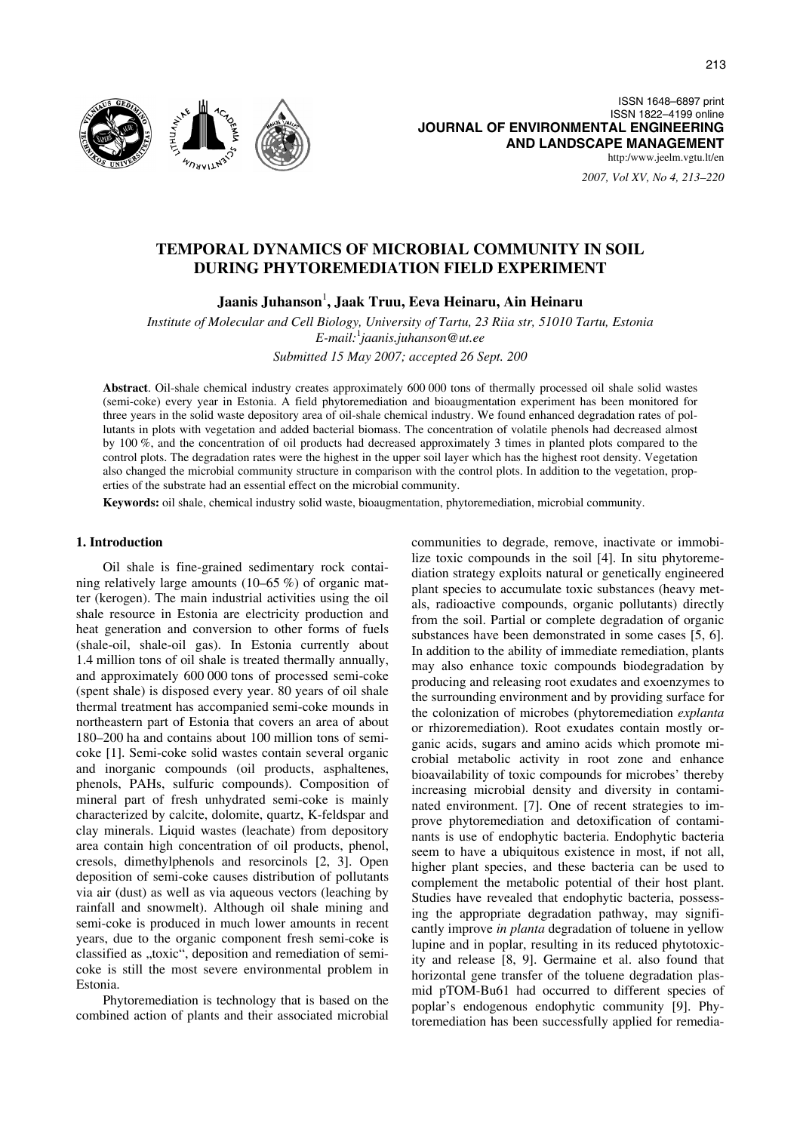

ISSN 1648–6897 print ISSN 1822–4199 online **JOURNAL OF ENVIRONMENTAL ENGINEERING AND LANDSCAPE MANAGEMENT** http:/www.jeelm.vgtu.lt/en

*2007, Vol XV, No 4, 213–220*

# **TEMPORAL DYNAMICS OF MICROBIAL COMMUNITY IN SOIL DURING PHYTOREMEDIATION FIELD EXPERIMENT**

**Jaanis Juhanson**<sup>1</sup> **, Jaak Truu, Eeva Heinaru, Ain Heinaru** 

*Institute of Molecular and Cell Biology, University of Tartu, 23 Riia str, 51010 Tartu, Estonia E-mail:*<sup>1</sup> *jaanis.juhanson@ut.ee* 

*Submitted 15 May 2007; accepted 26 Sept. 200* 

**Abstract**. Oil-shale chemical industry creates approximately 600 000 tons of thermally processed oil shale solid wastes (semi-coke) every year in Estonia. A field phytoremediation and bioaugmentation experiment has been monitored for three years in the solid waste depository area of oil-shale chemical industry. We found enhanced degradation rates of pollutants in plots with vegetation and added bacterial biomass. The concentration of volatile phenols had decreased almost by 100 %, and the concentration of oil products had decreased approximately 3 times in planted plots compared to the control plots. The degradation rates were the highest in the upper soil layer which has the highest root density. Vegetation also changed the microbial community structure in comparison with the control plots. In addition to the vegetation, properties of the substrate had an essential effect on the microbial community.

**Keywords:** oil shale, chemical industry solid waste, bioaugmentation, phytoremediation, microbial community.

#### **1. Introduction**

Oil shale is fine-grained sedimentary rock containing relatively large amounts (10–65 %) of organic matter (kerogen). The main industrial activities using the oil shale resource in Estonia are electricity production and heat generation and conversion to other forms of fuels (shale-oil, shale-oil gas). In Estonia currently about 1.4 million tons of oil shale is treated thermally annually, and approximately 600 000 tons of processed semi-coke (spent shale) is disposed every year. 80 years of oil shale thermal treatment has accompanied semi-coke mounds in northeastern part of Estonia that covers an area of about 180–200 ha and contains about 100 million tons of semicoke [1]. Semi-coke solid wastes contain several organic and inorganic compounds (oil products, asphaltenes, phenols, PAHs, sulfuric compounds). Composition of mineral part of fresh unhydrated semi-coke is mainly characterized by calcite, dolomite, quartz, K-feldspar and clay minerals. Liquid wastes (leachate) from depository area contain high concentration of oil products, phenol, cresols, dimethylphenols and resorcinols [2, 3]. Open deposition of semi-coke causes distribution of pollutants via air (dust) as well as via aqueous vectors (leaching by rainfall and snowmelt). Although oil shale mining and semi-coke is produced in much lower amounts in recent years, due to the organic component fresh semi-coke is classified as ..toxic", deposition and remediation of semicoke is still the most severe environmental problem in Estonia.

Phytoremediation is technology that is based on the combined action of plants and their associated microbial communities to degrade, remove, inactivate or immobilize toxic compounds in the soil [4]. In situ phytoremediation strategy exploits natural or genetically engineered plant species to accumulate toxic substances (heavy metals, radioactive compounds, organic pollutants) directly from the soil. Partial or complete degradation of organic substances have been demonstrated in some cases [5, 6]. In addition to the ability of immediate remediation, plants may also enhance toxic compounds biodegradation by producing and releasing root exudates and exoenzymes to the surrounding environment and by providing surface for the colonization of microbes (phytoremediation *explanta* or rhizoremediation). Root exudates contain mostly organic acids, sugars and amino acids which promote microbial metabolic activity in root zone and enhance bioavailability of toxic compounds for microbes' thereby increasing microbial density and diversity in contaminated environment. [7]. One of recent strategies to improve phytoremediation and detoxification of contaminants is use of endophytic bacteria. Endophytic bacteria seem to have a ubiquitous existence in most, if not all, higher plant species, and these bacteria can be used to complement the metabolic potential of their host plant. Studies have revealed that endophytic bacteria, possessing the appropriate degradation pathway, may significantly improve *in planta* degradation of toluene in yellow lupine and in poplar, resulting in its reduced phytotoxicity and release [8, 9]. Germaine et al. also found that horizontal gene transfer of the toluene degradation plasmid pTOM-Bu61 had occurred to different species of poplar's endogenous endophytic community [9]. Phytoremediation has been successfully applied for remedia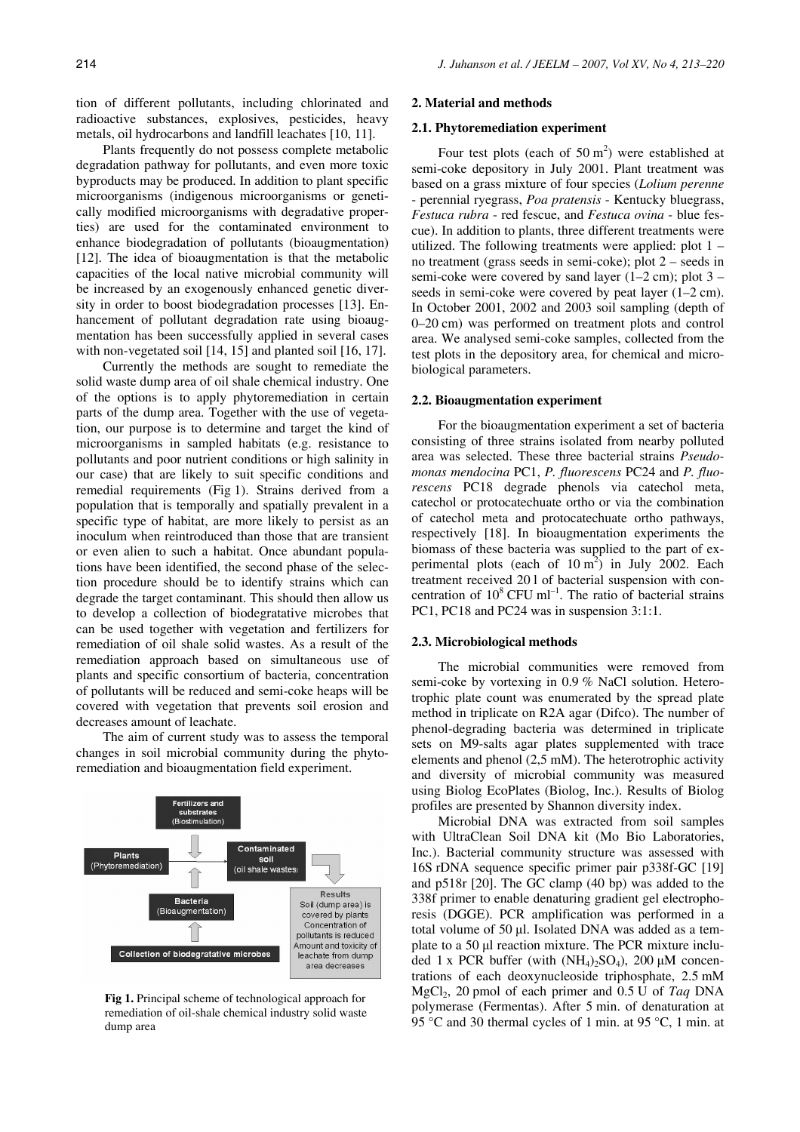tion of different pollutants, including chlorinated and radioactive substances, explosives, pesticides, heavy metals, oil hydrocarbons and landfill leachates [10, 11].

Plants frequently do not possess complete metabolic degradation pathway for pollutants, and even more toxic byproducts may be produced. In addition to plant specific microorganisms (indigenous microorganisms or genetically modified microorganisms with degradative properties) are used for the contaminated environment to enhance biodegradation of pollutants (bioaugmentation) [12]. The idea of bioaugmentation is that the metabolic capacities of the local native microbial community will be increased by an exogenously enhanced genetic diversity in order to boost biodegradation processes [13]. Enhancement of pollutant degradation rate using bioaugmentation has been successfully applied in several cases with non-vegetated soil [14, 15] and planted soil [16, 17].

Currently the methods are sought to remediate the solid waste dump area of oil shale chemical industry. One of the options is to apply phytoremediation in certain parts of the dump area. Together with the use of vegetation, our purpose is to determine and target the kind of microorganisms in sampled habitats (e.g. resistance to pollutants and poor nutrient conditions or high salinity in our case) that are likely to suit specific conditions and remedial requirements (Fig 1). Strains derived from a population that is temporally and spatially prevalent in a specific type of habitat, are more likely to persist as an inoculum when reintroduced than those that are transient or even alien to such a habitat. Once abundant populations have been identified, the second phase of the selection procedure should be to identify strains which can degrade the target contaminant. This should then allow us to develop a collection of biodegratative microbes that can be used together with vegetation and fertilizers for remediation of oil shale solid wastes. As a result of the remediation approach based on simultaneous use of plants and specific consortium of bacteria, concentration of pollutants will be reduced and semi-coke heaps will be covered with vegetation that prevents soil erosion and decreases amount of leachate.

The aim of current study was to assess the temporal changes in soil microbial community during the phytoremediation and bioaugmentation field experiment.



**Fig 1.** Principal scheme of technological approach for remediation of oil-shale chemical industry solid waste dump area

#### **2. Material and methods**

#### **2.1. Phytoremediation experiment**

Four test plots (each of 50  $m<sup>2</sup>$ ) were established at semi-coke depository in July 2001. Plant treatment was based on a grass mixture of four species (*Lolium perenne* - perennial ryegrass, *Poa pratensis* - Kentucky bluegrass, *Festuca rubra* - red fescue, and *Festuca ovina* - blue fescue). In addition to plants, three different treatments were utilized. The following treatments were applied: plot 1 – no treatment (grass seeds in semi-coke); plot 2 – seeds in semi-coke were covered by sand layer  $(1-2 \text{ cm})$ ; plot  $3$ seeds in semi-coke were covered by peat layer (1–2 cm). In October 2001, 2002 and 2003 soil sampling (depth of 0–20 cm) was performed on treatment plots and control area. We analysed semi-coke samples, collected from the test plots in the depository area, for chemical and microbiological parameters.

### **2.2. Bioaugmentation experiment**

For the bioaugmentation experiment a set of bacteria consisting of three strains isolated from nearby polluted area was selected. These three bacterial strains *Pseudomonas mendocina* PC1, *P. fluorescens* PC24 and *P. fluorescens* PC18 degrade phenols via catechol meta, catechol or protocatechuate ortho or via the combination of catechol meta and protocatechuate ortho pathways, respectively [18]. In bioaugmentation experiments the biomass of these bacteria was supplied to the part of experimental plots (each of  $10 \text{ m}^2$ ) in July 2002. Each treatment received 20 l of bacterial suspension with concentration of  $10^8$  CFU ml<sup>-1</sup>. The ratio of bacterial strains PC1, PC18 and PC24 was in suspension 3:1:1.

### **2.3. Microbiological methods**

The microbial communities were removed from semi-coke by vortexing in 0.9 % NaCl solution. Heterotrophic plate count was enumerated by the spread plate method in triplicate on R2A agar (Difco). The number of phenol-degrading bacteria was determined in triplicate sets on M9-salts agar plates supplemented with trace elements and phenol (2,5 mM). The heterotrophic activity and diversity of microbial community was measured using Biolog EcoPlates (Biolog, Inc.). Results of Biolog profiles are presented by Shannon diversity index.

Microbial DNA was extracted from soil samples with UltraClean Soil DNA kit (Mo Bio Laboratories, Inc.). Bacterial community structure was assessed with 16S rDNA sequence specific primer pair p338f-GC [19] and p518r [20]. The GC clamp (40 bp) was added to the 338f primer to enable denaturing gradient gel electrophoresis (DGGE). PCR amplification was performed in a total volume of 50 µl. Isolated DNA was added as a template to a 50 µl reaction mixture. The PCR mixture included 1 x PCR buffer (with  $(NH_4)_2SO_4$ ), 200  $\mu$ M concentrations of each deoxynucleoside triphosphate, 2.5 mM MgCl2, 20 pmol of each primer and 0.5 U of *Taq* DNA polymerase (Fermentas). After 5 min. of denaturation at 95 °C and 30 thermal cycles of 1 min. at 95 °C, 1 min. at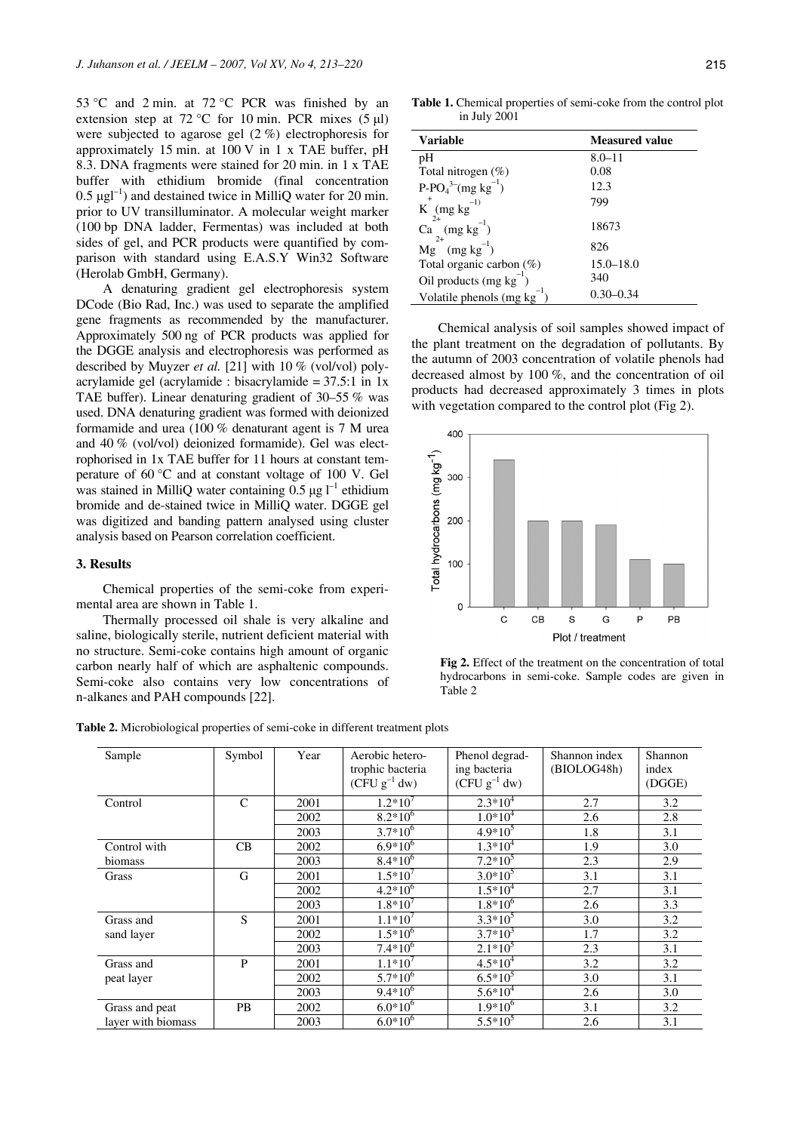53 °C and 2 min. at 72 °C PCR was finished by an extension step at 72 °C for 10 min. PCR mixes  $(5 \mu l)$ were subjected to agarose gel (2 %) electrophoresis for approximately 15 min. at 100 V in 1 x TAE buffer, pH 8.3. DNA fragments were stained for 20 min. in 1 x TAE buffer with ethidium bromide (final concentration  $0.5 \mu g l^{-1}$ ) and destained twice in MilliQ water for 20 min. prior to UV transilluminator. A molecular weight marker (100 bp DNA ladder, Fermentas) was included at both sides of gel, and PCR products were quantified by comparison with standard using E.A.S.Y Win32 Software (Herolab GmbH, Germany).

A denaturing gradient gel electrophoresis system DCode (Bio Rad, Inc.) was used to separate the amplified gene fragments as recommended by the manufacturer. Approximately 500 ng of PCR products was applied for the DGGE analysis and electrophoresis was performed as described by Muyzer *et al.* [21] with 10 % (vol/vol) polyacrylamide gel (acrylamide : bisacrylamide  $= 37.5:1$  in 1x TAE buffer). Linear denaturing gradient of 30–55 % was used. DNA denaturing gradient was formed with deionized formamide and urea (100 % denaturant agent is 7 M urea and 40 % (vol/vol) deionized formamide). Gel was electrophorised in 1x TAE buffer for 11 hours at constant temperature of 60 °C and at constant voltage of 100 V. Gel was stained in MilliQ water containing  $0.5 \mu g I^{-1}$  ethidium bromide and de-stained twice in MilliQ water. DGGE gel was digitized and banding pattern analysed using cluster analysis based on Pearson correlation coefficient.

## **3. Results**

Chemical properties of the semi-coke from experimental area are shown in Table 1.

Thermally processed oil shale is very alkaline and saline, biologically sterile, nutrient deficient material with no structure. Semi-coke contains high amount of organic carbon nearly half of which are asphaltenic compounds. Semi-coke also contains very low concentrations of n-alkanes and PAH compounds [22].

**Table 1.** Chemical properties of semi-coke from the control plot in July 2001

| <b>Variable</b>                     | <b>Measured value</b> |
|-------------------------------------|-----------------------|
| pH                                  | $8.0 - 11$            |
| Total nitrogen $(\%)$               | 0.08                  |
| $P-PO43-(mg kg-1)$                  | 12.3                  |
| $K^{+}$ (mg kg <sup>-1)</sup>       | 799                   |
| $2+$<br>Ca $(mg kg^{-1})$           | 18673                 |
| $2+$<br>$Mg$ (mg kg <sup>-1</sup> ) | 826                   |
| Total organic carbon $(\%)$         | $15.0 - 18.0$         |
| Oil products $(mg kg^{-1})$         | 340                   |
| Volatile phenols (mg kg)            | $0.30 - 0.34$         |

Chemical analysis of soil samples showed impact of the plant treatment on the degradation of pollutants. By the autumn of 2003 concentration of volatile phenols had decreased almost by 100 %, and the concentration of oil products had decreased approximately 3 times in plots with vegetation compared to the control plot (Fig 2).



**Fig 2.** Effect of the treatment on the concentration of total hydrocarbons in semi-coke. Sample codes are given in Table 2

**Table 2.** Microbiological properties of semi-coke in different treatment plots

| Sample             | Symbol        | Year | Aerobic hetero-                                                | Phenol degrad-    | Shannon index | Shannon |
|--------------------|---------------|------|----------------------------------------------------------------|-------------------|---------------|---------|
|                    |               |      | trophic bacteria                                               | ing bacteria      | (BIOLOG48h)   | index   |
|                    |               |      | $(\tilde{\mathrm{CFU}} \mathrm{g}^{-1} \mathrm{d} \mathrm{w})$ | $(CFU g^{-1} dw)$ |               | (DGGE)  |
| Control            | $\mathcal{C}$ | 2001 | $1.2*10^7$                                                     | $2.3*10^{4}$      | 2.7           | 3.2     |
|                    |               | 2002 | $8.2*10^{6}$                                                   | $1.0*104$         | 2.6           | 2.8     |
|                    |               | 2003 | $3.7*10^{6}$                                                   | $4.9*10^5$        | 1.8           | 3.1     |
| Control with       | CB            | 2002 | $6.9*10^{6}$                                                   | $1.3*10^{4}$      | 1.9           | 3.0     |
| biomass            |               | 2003 | $8.4*10^{6}$                                                   | $7.2*10^5$        | 2.3           | 2.9     |
| Grass              | G             | 2001 | $1.5*10^{7}$                                                   | $3.0*10^5$        | 3.1           | 3.1     |
|                    |               | 2002 | $4.2*10^{6}$                                                   | $1.5*10^{4}$      | 2.7           | 3.1     |
|                    |               | 2003 | $1.8*10^7$                                                     | $1.8*10^{6}$      | 2.6           | 3.3     |
| Grass and          | S             | 2001 | $1.1*10^{7}$                                                   | $3.3*10^{5}$      | 3.0           | 3.2     |
| sand layer         |               | 2002 | $1.5*10^{6}$                                                   | $3.7*10^3$        | 1.7           | 3.2     |
|                    |               | 2003 | $7.4*10^{6}$                                                   | $2.1*10^5$        | 2.3           | 3.1     |
| Grass and          | P             | 2001 | $1.1*10^7$                                                     | $4.5*10^{4}$      | 3.2           | 3.2     |
| peat layer         |               | 2002 | $5.7*10^{6}$                                                   | $6.5*10^5$        | 3.0           | 3.1     |
|                    |               | 2003 | $9.4*10^{6}$                                                   | $5.6*10^{4}$      | 2.6           | 3.0     |
| Grass and peat     | <b>PB</b>     | 2002 | $6.0*10^{6}$                                                   | $1.9*10^{6}$      | 3.1           | 3.2     |
| layer with biomass |               | 2003 | $6.0*10^{6}$                                                   | $5.5*10^5$        | 2.6           | 3.1     |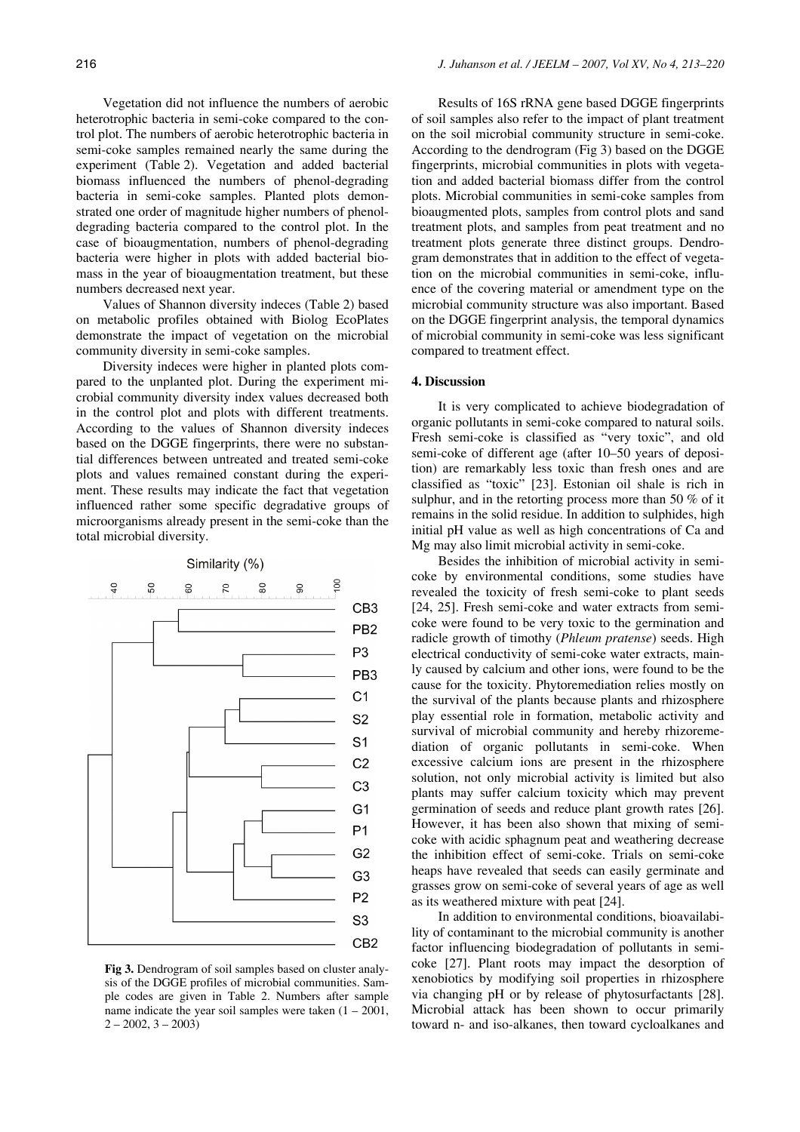Vegetation did not influence the numbers of aerobic heterotrophic bacteria in semi-coke compared to the control plot. The numbers of aerobic heterotrophic bacteria in semi-coke samples remained nearly the same during the experiment (Table 2). Vegetation and added bacterial biomass influenced the numbers of phenol-degrading bacteria in semi-coke samples. Planted plots demonstrated one order of magnitude higher numbers of phenoldegrading bacteria compared to the control plot. In the case of bioaugmentation, numbers of phenol-degrading bacteria were higher in plots with added bacterial biomass in the year of bioaugmentation treatment, but these numbers decreased next year.

Values of Shannon diversity indeces (Table 2) based on metabolic profiles obtained with Biolog EcoPlates demonstrate the impact of vegetation on the microbial community diversity in semi-coke samples.

Diversity indeces were higher in planted plots compared to the unplanted plot. During the experiment microbial community diversity index values decreased both in the control plot and plots with different treatments. According to the values of Shannon diversity indeces based on the DGGE fingerprints, there were no substantial differences between untreated and treated semi-coke plots and values remained constant during the experiment. These results may indicate the fact that vegetation influenced rather some specific degradative groups of microorganisms already present in the semi-coke than the total microbial diversity.



**Fig 3.** Dendrogram of soil samples based on cluster analysis of the DGGE profiles of microbial communities. Sample codes are given in Table 2. Numbers after sample name indicate the year soil samples were taken  $(1 - 2001)$ ,  $2 - 2002$ ,  $3 - 2003$ )

Results of 16S rRNA gene based DGGE fingerprints of soil samples also refer to the impact of plant treatment on the soil microbial community structure in semi-coke. According to the dendrogram (Fig 3) based on the DGGE fingerprints, microbial communities in plots with vegetation and added bacterial biomass differ from the control plots. Microbial communities in semi-coke samples from bioaugmented plots, samples from control plots and sand treatment plots, and samples from peat treatment and no treatment plots generate three distinct groups. Dendrogram demonstrates that in addition to the effect of vegetation on the microbial communities in semi-coke, influence of the covering material or amendment type on the microbial community structure was also important. Based on the DGGE fingerprint analysis, the temporal dynamics of microbial community in semi-coke was less significant compared to treatment effect.

## **4. Discussion**

It is very complicated to achieve biodegradation of organic pollutants in semi-coke compared to natural soils. Fresh semi-coke is classified as "very toxic", and old semi-coke of different age (after 10–50 years of deposition) are remarkably less toxic than fresh ones and are classified as "toxic" [23]. Estonian oil shale is rich in sulphur, and in the retorting process more than 50 % of it remains in the solid residue. In addition to sulphides, high initial pH value as well as high concentrations of Ca and Mg may also limit microbial activity in semi-coke.

Besides the inhibition of microbial activity in semicoke by environmental conditions, some studies have revealed the toxicity of fresh semi-coke to plant seeds [24, 25]. Fresh semi-coke and water extracts from semicoke were found to be very toxic to the germination and radicle growth of timothy (*Phleum pratense*) seeds. High electrical conductivity of semi-coke water extracts, mainly caused by calcium and other ions, were found to be the cause for the toxicity. Phytoremediation relies mostly on the survival of the plants because plants and rhizosphere play essential role in formation, metabolic activity and survival of microbial community and hereby rhizoremediation of organic pollutants in semi-coke. When excessive calcium ions are present in the rhizosphere solution, not only microbial activity is limited but also plants may suffer calcium toxicity which may prevent germination of seeds and reduce plant growth rates [26]. However, it has been also shown that mixing of semicoke with acidic sphagnum peat and weathering decrease the inhibition effect of semi-coke. Trials on semi-coke heaps have revealed that seeds can easily germinate and grasses grow on semi-coke of several years of age as well as its weathered mixture with peat [24].

In addition to environmental conditions, bioavailability of contaminant to the microbial community is another factor influencing biodegradation of pollutants in semicoke [27]. Plant roots may impact the desorption of xenobiotics by modifying soil properties in rhizosphere via changing pH or by release of phytosurfactants [28]. Microbial attack has been shown to occur primarily toward n- and iso-alkanes, then toward cycloalkanes and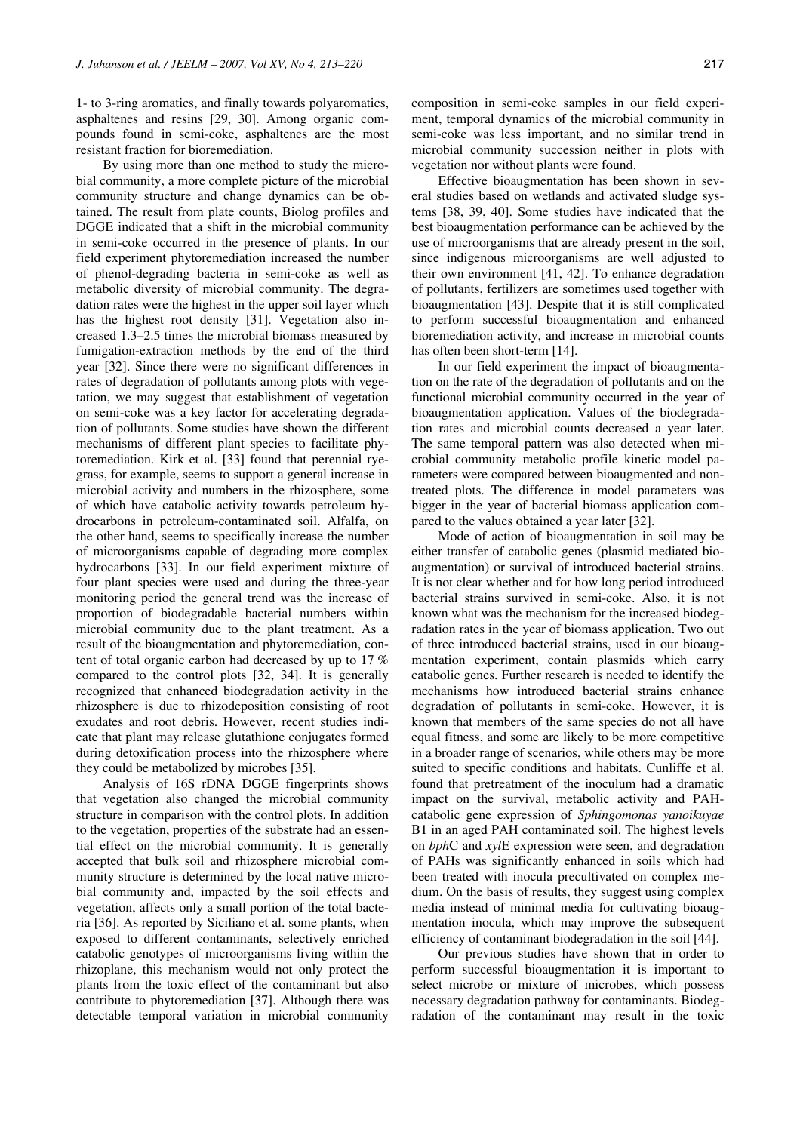1- to 3-ring aromatics, and finally towards polyaromatics, asphaltenes and resins [29, 30]. Among organic compounds found in semi-coke, asphaltenes are the most resistant fraction for bioremediation.

By using more than one method to study the microbial community, a more complete picture of the microbial community structure and change dynamics can be obtained. The result from plate counts, Biolog profiles and DGGE indicated that a shift in the microbial community in semi-coke occurred in the presence of plants. In our field experiment phytoremediation increased the number of phenol-degrading bacteria in semi-coke as well as metabolic diversity of microbial community. The degradation rates were the highest in the upper soil layer which has the highest root density [31]. Vegetation also increased 1.3–2.5 times the microbial biomass measured by fumigation-extraction methods by the end of the third year [32]. Since there were no significant differences in rates of degradation of pollutants among plots with vegetation, we may suggest that establishment of vegetation on semi-coke was a key factor for accelerating degradation of pollutants. Some studies have shown the different mechanisms of different plant species to facilitate phytoremediation. Kirk et al. [33] found that perennial ryegrass, for example, seems to support a general increase in microbial activity and numbers in the rhizosphere, some of which have catabolic activity towards petroleum hydrocarbons in petroleum-contaminated soil. Alfalfa, on the other hand, seems to specifically increase the number of microorganisms capable of degrading more complex hydrocarbons [33]. In our field experiment mixture of four plant species were used and during the three-year monitoring period the general trend was the increase of proportion of biodegradable bacterial numbers within microbial community due to the plant treatment. As a result of the bioaugmentation and phytoremediation, content of total organic carbon had decreased by up to 17 % compared to the control plots [32, 34]. It is generally recognized that enhanced biodegradation activity in the rhizosphere is due to rhizodeposition consisting of root exudates and root debris. However, recent studies indicate that plant may release glutathione conjugates formed during detoxification process into the rhizosphere where they could be metabolized by microbes [35].

Analysis of 16S rDNA DGGE fingerprints shows that vegetation also changed the microbial community structure in comparison with the control plots. In addition to the vegetation, properties of the substrate had an essential effect on the microbial community. It is generally accepted that bulk soil and rhizosphere microbial community structure is determined by the local native microbial community and, impacted by the soil effects and vegetation, affects only a small portion of the total bacteria [36]. As reported by Siciliano et al. some plants, when exposed to different contaminants, selectively enriched catabolic genotypes of microorganisms living within the rhizoplane, this mechanism would not only protect the plants from the toxic effect of the contaminant but also contribute to phytoremediation [37]. Although there was detectable temporal variation in microbial community composition in semi-coke samples in our field experiment, temporal dynamics of the microbial community in semi-coke was less important, and no similar trend in microbial community succession neither in plots with vegetation nor without plants were found.

Effective bioaugmentation has been shown in several studies based on wetlands and activated sludge systems [38, 39, 40]. Some studies have indicated that the best bioaugmentation performance can be achieved by the use of microorganisms that are already present in the soil, since indigenous microorganisms are well adjusted to their own environment [41, 42]. To enhance degradation of pollutants, fertilizers are sometimes used together with bioaugmentation [43]. Despite that it is still complicated to perform successful bioaugmentation and enhanced bioremediation activity, and increase in microbial counts has often been short-term [14].

In our field experiment the impact of bioaugmentation on the rate of the degradation of pollutants and on the functional microbial community occurred in the year of bioaugmentation application. Values of the biodegradation rates and microbial counts decreased a year later. The same temporal pattern was also detected when microbial community metabolic profile kinetic model parameters were compared between bioaugmented and nontreated plots. The difference in model parameters was bigger in the year of bacterial biomass application compared to the values obtained a year later [32].

Mode of action of bioaugmentation in soil may be either transfer of catabolic genes (plasmid mediated bioaugmentation) or survival of introduced bacterial strains. It is not clear whether and for how long period introduced bacterial strains survived in semi-coke. Also, it is not known what was the mechanism for the increased biodegradation rates in the year of biomass application. Two out of three introduced bacterial strains, used in our bioaugmentation experiment, contain plasmids which carry catabolic genes. Further research is needed to identify the mechanisms how introduced bacterial strains enhance degradation of pollutants in semi-coke. However, it is known that members of the same species do not all have equal fitness, and some are likely to be more competitive in a broader range of scenarios, while others may be more suited to specific conditions and habitats. Cunliffe et al. found that pretreatment of the inoculum had a dramatic impact on the survival, metabolic activity and PAHcatabolic gene expression of *Sphingomonas yanoikuyae* B1 in an aged PAH contaminated soil. The highest levels on *bph*C and *xyl*E expression were seen, and degradation of PAHs was significantly enhanced in soils which had been treated with inocula precultivated on complex medium. On the basis of results, they suggest using complex media instead of minimal media for cultivating bioaugmentation inocula, which may improve the subsequent efficiency of contaminant biodegradation in the soil [44].

Our previous studies have shown that in order to perform successful bioaugmentation it is important to select microbe or mixture of microbes, which possess necessary degradation pathway for contaminants. Biodegradation of the contaminant may result in the toxic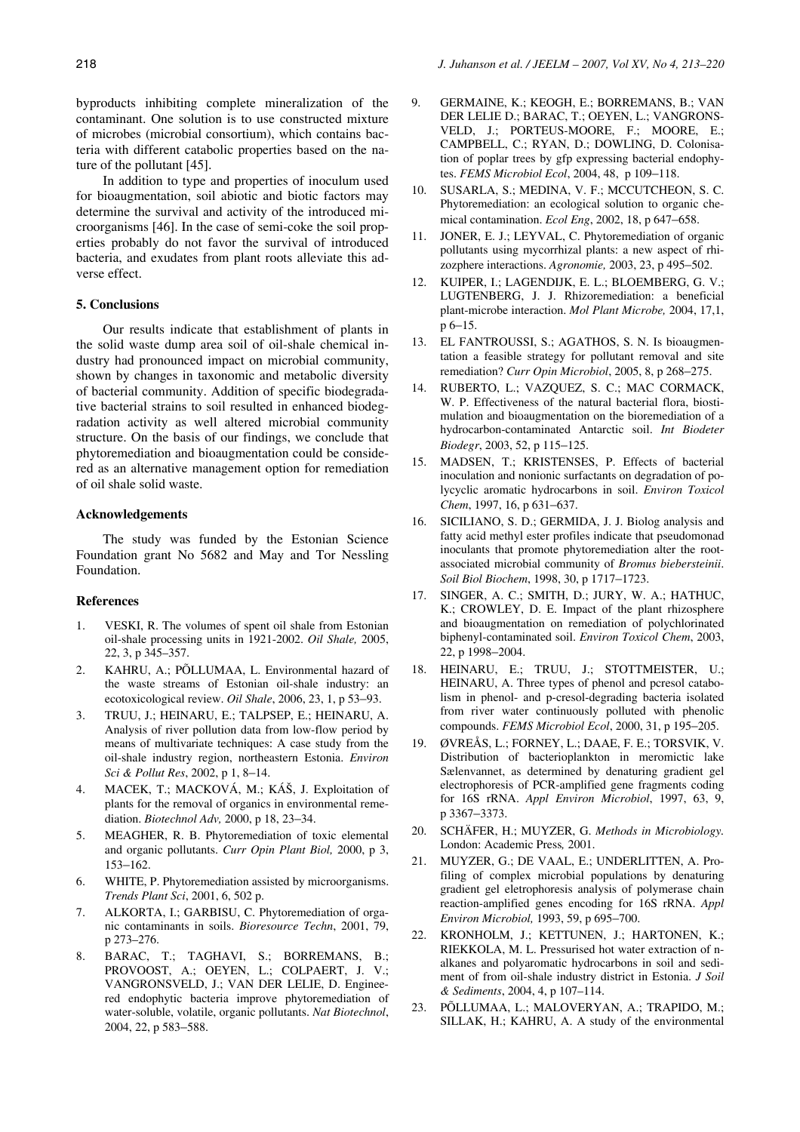byproducts inhibiting complete mineralization of the contaminant. One solution is to use constructed mixture of microbes (microbial consortium), which contains bacteria with different catabolic properties based on the nature of the pollutant [45].

In addition to type and properties of inoculum used for bioaugmentation, soil abiotic and biotic factors may determine the survival and activity of the introduced microorganisms [46]. In the case of semi-coke the soil properties probably do not favor the survival of introduced bacteria, and exudates from plant roots alleviate this adverse effect.

### **5. Conclusions**

Our results indicate that establishment of plants in the solid waste dump area soil of oil-shale chemical industry had pronounced impact on microbial community, shown by changes in taxonomic and metabolic diversity of bacterial community. Addition of specific biodegradative bacterial strains to soil resulted in enhanced biodegradation activity as well altered microbial community structure. On the basis of our findings, we conclude that phytoremediation and bioaugmentation could be considered as an alternative management option for remediation of oil shale solid waste.

#### **Acknowledgements**

The study was funded by the Estonian Science Foundation grant No 5682 and May and Tor Nessling Foundation.

### **References**

- 1. VESKI, R. The volumes of spent oil shale from Estonian oil-shale processing units in 1921-2002. *Oil Shale,* 2005, 22, 3, p 345–357.
- 2. KAHRU, A.; PÕLLUMAA, L. Environmental hazard of the waste streams of Estonian oil-shale industry: an ecotoxicological review. *Oil Shale*, 2006, 23, 1, p 53–93.
- 3. TRUU, J.; HEINARU, E.; TALPSEP, E.; HEINARU, A. Analysis of river pollution data from low-flow period by means of multivariate techniques: A case study from the oil-shale industry region, northeastern Estonia. *Environ Sci & Pollut Res*, 2002, p 1, 8–14.
- 4. MACEK, T.; MACKOVÁ, M.; KÁŠ, J. Exploitation of plants for the removal of organics in environmental remediation. *Biotechnol Adv,* 2000, p 18, 23–34.
- 5. MEAGHER, R. B. Phytoremediation of toxic elemental and organic pollutants. *Curr Opin Plant Biol,* 2000, p 3, 153–162.
- 6. WHITE, P. Phytoremediation assisted by microorganisms. *Trends Plant Sci*, 2001, 6, 502 p.
- 7. ALKORTA, I.; GARBISU, C. Phytoremediation of organic contaminants in soils. *Bioresource Techn*, 2001, 79, p 273–276.
- 8. BARAC, T.; TAGHAVI, S.; BORREMANS, B.; PROVOOST, A.; OEYEN, L.; COLPAERT, J. V.; VANGRONSVELD, J.; VAN DER LELIE, D. Engineered endophytic bacteria improve phytoremediation of water-soluble, volatile, organic pollutants. *Nat Biotechnol*, 2004, 22, p 583–588.
- 9. GERMAINE, K.; KEOGH, E.; BORREMANS, B.; VAN DER LELIE D.; BARAC, T.; OEYEN, L.; VANGRONS-VELD, J.; PORTEUS-MOORE, F.; MOORE, E.; CAMPBELL, C.; RYAN, D.; DOWLING, D. Colonisation of poplar trees by gfp expressing bacterial endophytes. *FEMS Microbiol Ecol*, 2004, 48, p 109–118.
- 10. SUSARLA, S.; MEDINA, V. F.; MCCUTCHEON, S. C. Phytoremediation: an ecological solution to organic chemical contamination. *Ecol Eng*, 2002, 18, p 647–658.
- 11. JONER, E. J.; LEYVAL, C. Phytoremediation of organic pollutants using mycorrhizal plants: a new aspect of rhizozphere interactions. *Agronomie,* 2003, 23, p 495–502.
- 12. KUIPER, I.; LAGENDIJK, E. L.; BLOEMBERG, G. V.; LUGTENBERG, J. J. Rhizoremediation: a beneficial plant-microbe interaction. *Mol Plant Microbe,* 2004, 17,1, p 6–15.
- 13. EL FANTROUSSI, S.; AGATHOS, S. N. Is bioaugmentation a feasible strategy for pollutant removal and site remediation? *Curr Opin Microbiol*, 2005, 8, p 268–275.
- 14. RUBERTO, L.; VAZQUEZ, S. C.; MAC CORMACK, W. P. Effectiveness of the natural bacterial flora, biostimulation and bioaugmentation on the bioremediation of a hydrocarbon-contaminated Antarctic soil. *Int Biodeter Biodegr*, 2003, 52, p 115–125.
- 15. MADSEN, T.; KRISTENSES, P. Effects of bacterial inoculation and nonionic surfactants on degradation of polycyclic aromatic hydrocarbons in soil. *Environ Toxicol Chem*, 1997, 16, p 631–637.
- 16. SICILIANO, S. D.; GERMIDA, J. J. Biolog analysis and fatty acid methyl ester profiles indicate that pseudomonad inoculants that promote phytoremediation alter the rootassociated microbial community of *Bromus biebersteinii*. *Soil Biol Biochem*, 1998, 30, p 1717–1723.
- 17. SINGER, A. C.; SMITH, D.; JURY, W. A.; HATHUC, K.; CROWLEY, D. E. Impact of the plant rhizosphere and bioaugmentation on remediation of polychlorinated biphenyl-contaminated soil. *Environ Toxicol Chem*, 2003, 22, p 1998–2004.
- 18. HEINARU, E.; TRUU, J.; STOTTMEISTER, U.; HEINARU, A. Three types of phenol and pcresol catabolism in phenol- and p-cresol-degrading bacteria isolated from river water continuously polluted with phenolic compounds. *FEMS Microbiol Ecol*, 2000, 31, p 195–205.
- 19. ØVREÅS, L.; FORNEY, L.; DAAE, F. E.; TORSVIK, V. Distribution of bacterioplankton in meromictic lake Sælenvannet, as determined by denaturing gradient gel electrophoresis of PCR-amplified gene fragments coding for 16S rRNA. *Appl Environ Microbiol*, 1997, 63, 9, p 3367–3373.
- 20. SCHÄFER, H.; MUYZER, G. *Methods in Microbiology.*  London: Academic Press*,* 2001.
- 21. MUYZER, G.; DE VAAL, E.; UNDERLITTEN, A. Profiling of complex microbial populations by denaturing gradient gel eletrophoresis analysis of polymerase chain reaction-amplified genes encoding for 16S rRNA. *Appl Environ Microbiol,* 1993, 59, p 695–700.
- 22. KRONHOLM, J.; KETTUNEN, J.; HARTONEN, K.; RIEKKOLA, M. L. Pressurised hot water extraction of nalkanes and polyaromatic hydrocarbons in soil and sediment of from oil-shale industry district in Estonia. *J Soil & Sediments*, 2004, 4, p 107–114.
- 23. PÕLLUMAA, L.; MALOVERYAN, A.; TRAPIDO, M.; SILLAK, H.; KAHRU, A. A study of the environmental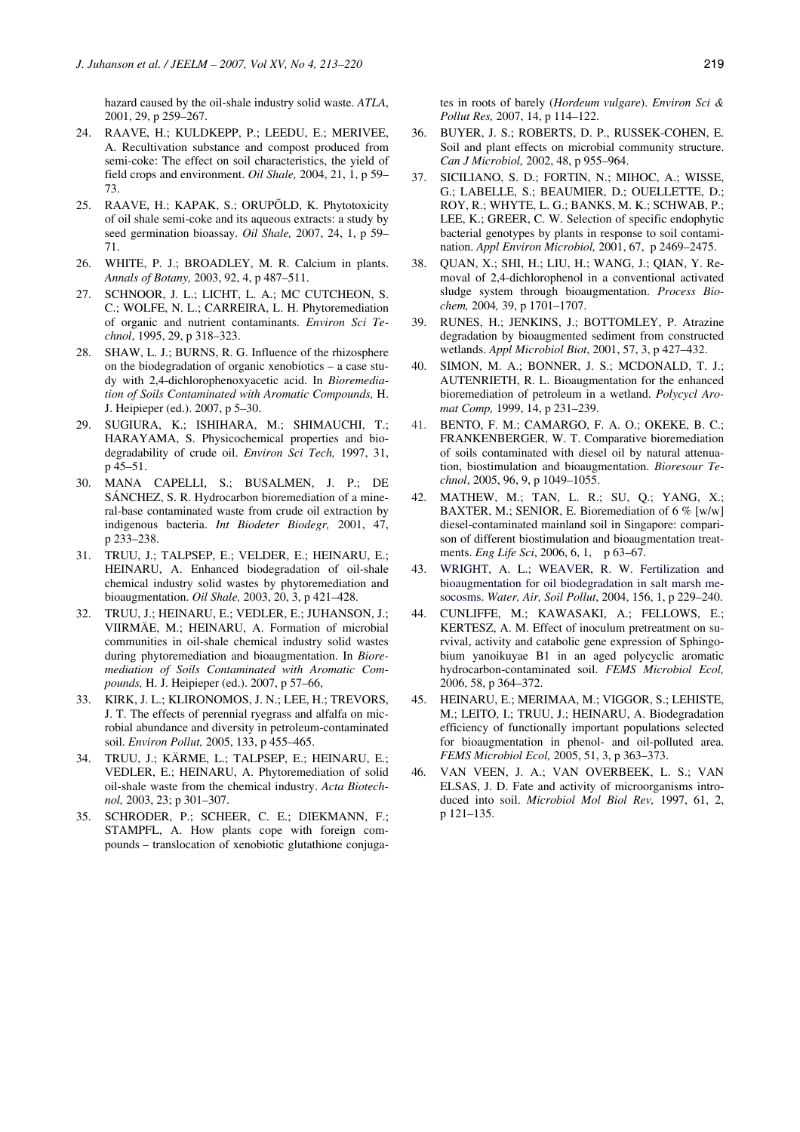hazard caused by the oil-shale industry solid waste. *ATLA*, 2001, 29, p 259–267.

- 24. RAAVE, H.; KULDKEPP, P.; LEEDU, E.; MERIVEE, A. Recultivation substance and compost produced from semi-coke: The effect on soil characteristics, the yield of field crops and environment. *Oil Shale,* 2004, 21, 1, p 59– 73.
- 25. RAAVE, H.; KAPAK, S.; ORUPÕLD, K. Phytotoxicity of oil shale semi-coke and its aqueous extracts: a study by seed germination bioassay. *Oil Shale,* 2007, 24, 1, p 59– 71.
- 26. WHITE, P. J.; BROADLEY, M. R. Calcium in plants. *Annals of Botany,* 2003, 92, 4, p 487–511.
- 27. SCHNOOR, J. L.; LICHT, L. A.; MC CUTCHEON, S. C.; WOLFE, N. L.; CARREIRA, L. H. Phytoremediation of organic and nutrient contaminants. *Environ Sci Technol*, 1995, 29, p 318–323.
- 28. SHAW, L. J.; BURNS, R. G. Influence of the rhizosphere on the biodegradation of organic xenobiotics – a case study with 2,4-dichlorophenoxyacetic acid. In *Bioremediation of Soils Contaminated with Aromatic Compounds,* H. J. Heipieper (ed.). 2007, p 5–30.
- 29. SUGIURA, K.; ISHIHARA, M.; SHIMAUCHI, T.; HARAYAMA, S. Physicochemical properties and biodegradability of crude oil. *Environ Sci Tech,* 1997, 31, p 45–51.
- 30. MANA CAPELLI, S.; BUSALMEN, J. P.; DE SÁNCHEZ, S. R. Hydrocarbon bioremediation of a mineral-base contaminated waste from crude oil extraction by indigenous bacteria. *Int Biodeter Biodegr,* 2001, 47, p 233–238.
- 31. TRUU, J.; TALPSEP, E.; VELDER, E.; HEINARU, E.; HEINARU, A. Enhanced biodegradation of oil-shale chemical industry solid wastes by phytoremediation and bioaugmentation. *Oil Shale,* 2003, 20, 3, p 421–428.
- 32. TRUU, J.; HEINARU, E.; VEDLER, E.; JUHANSON, J.; VIIRMÄE, M.; HEINARU, A. Formation of microbial communities in oil-shale chemical industry solid wastes during phytoremediation and bioaugmentation. In *Bioremediation of Soils Contaminated with Aromatic Compounds,* H. J. Heipieper (ed.). 2007, p 57–66,
- 33. KIRK, J. L.; KLIRONOMOS, J. N.; LEE, H.; TREVORS, J. T. The effects of perennial ryegrass and alfalfa on microbial abundance and diversity in petroleum-contaminated soil. *Environ Pollut,* 2005, 133, p 455–465.
- 34. TRUU, J.; KÄRME, L.; TALPSEP, E.; HEINARU, E.; VEDLER, E.; HEINARU, A. Phytoremediation of solid oil-shale waste from the chemical industry. *Acta Biotechnol,* 2003, 23; p 301–307.
- 35. SCHRODER, P.; SCHEER, C. E.; DIEKMANN, F.; STAMPFL, A. How plants cope with foreign compounds – translocation of xenobiotic glutathione conjuga-

tes in roots of barely (*Hordeum vulgare*). *Environ Sci & Pollut Res,* 2007, 14, p 114–122.

- 36. BUYER, J. S.; ROBERTS, D. P., RUSSEK-COHEN, E. Soil and plant effects on microbial community structure. *Can J Microbiol,* 2002, 48, p 955–964.
- 37. SICILIANO, S. D.; FORTIN, N.; MIHOC, A.; WISSE, G.; LABELLE, S.; BEAUMIER, D.; OUELLETTE, D.; ROY, R.; WHYTE, L. G.; BANKS, M. K.; SCHWAB, P.; LEE, K.; GREER, C. W. Selection of specific endophytic bacterial genotypes by plants in response to soil contamination. *Appl Environ Microbiol,* 2001, 67, p 2469–2475.
- 38. QUAN, X.; SHI, H.; LIU, H.; WANG, J.; QIAN, Y. Removal of 2,4-dichlorophenol in a conventional activated sludge system through bioaugmentation. *Process Biochem,* 2004*,* 39, p 1701–1707.
- 39. RUNES, H.; JENKINS, J.; BOTTOMLEY, P. Atrazine degradation by bioaugmented sediment from constructed wetlands. *Appl Microbiol Biot*, 2001, 57, 3, p 427–432.
- 40. SIMON, M. A.; BONNER, J. S.; MCDONALD, T. J.; AUTENRIETH, R. L. Bioaugmentation for the enhanced bioremediation of petroleum in a wetland. *Polycycl Aromat Comp,* 1999, 14, p 231–239.
- 41. BENTO, F. M.; CAMARGO, F. A. O.; OKEKE, B. C.; FRANKENBERGER, W. T. Comparative bioremediation of soils contaminated with diesel oil by natural attenuation, biostimulation and bioaugmentation. *Bioresour Technol*, 2005, 96, 9, p 1049–1055.
- 42. MATHEW, M.; TAN, L. R.; SU, Q.; YANG, X.; BAXTER, M.; SENIOR, E. Bioremediation of 6 % [w/w] diesel-contaminated mainland soil in Singapore: comparison of different biostimulation and bioaugmentation treatments. *Eng Life Sci*, 2006, 6, 1, p 63–67.
- 43. WRIGHT, A. L.; WEAVER, R. W. Fertilization and bioaugmentation for oil biodegradation in salt marsh mesocosms. *Water, Air, Soil Pollut*, 2004, 156, 1, p 229–240.
- 44. CUNLIFFE, M.; KAWASAKI, A.; FELLOWS, E.; KERTESZ, A. M. Effect of inoculum pretreatment on survival, activity and catabolic gene expression of Sphingobium yanoikuyae B1 in an aged polycyclic aromatic hydrocarbon-contaminated soil. *FEMS Microbiol Ecol,* 2006, 58, p 364–372.
- 45. HEINARU, E.; MERIMAA, M.; VIGGOR, S.; LEHISTE, M.; LEITO, I.; TRUU, J.; HEINARU, A. Biodegradation efficiency of functionally important populations selected for bioaugmentation in phenol- and oil-polluted area. *FEMS Microbiol Ecol,* 2005, 51, 3, p 363–373.
- 46. VAN VEEN, J. A.; VAN OVERBEEK, L. S.; VAN ELSAS, J. D. Fate and activity of microorganisms introduced into soil. *Microbiol Mol Biol Rev,* 1997, 61, 2, p 121–135.